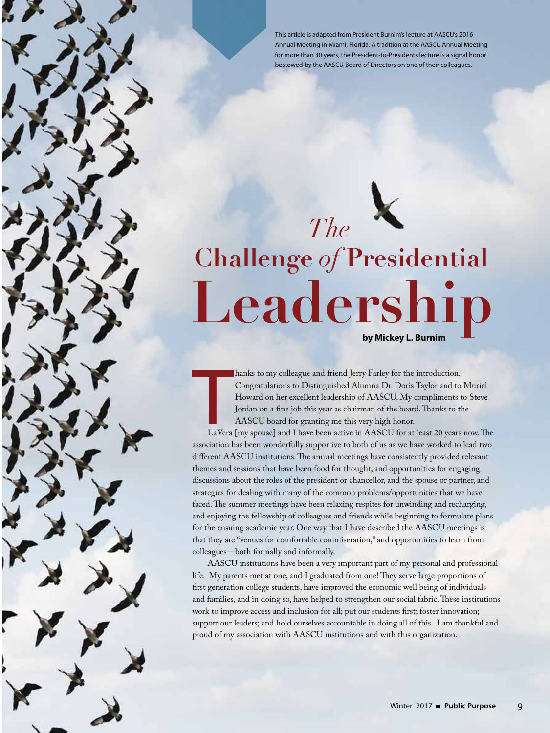This article is adapted from President Burnim's lecture at AASCU's 2016 Annual Meeting in Miami, Florida. A tradition at the AASCU Annual Meeting for more than 30 years, the President-to-Presidents lecture is a signal honor bestowed by the AASCU Board of Directors on one of their colleagues.

## **Leadership Challenge** *of* **Presidential** *The*

**by Mickey L. Burnim**

hanks to my colleague and friend Jerry Farley for the introduction. Congratulations to Distinguished Alumna Dr. Doris Taylor and to Muriel Howard on her excellent leadership of AASCU. My compliments to Steve Jordan on a fine job this year as chairman of the board. Thanks to the AASCU board for granting me this very high honor.

External de la Castron de la Castron de la Castron de la Castron de la Castron de la Castron de la Castron de la Castron de la Castron de la Castron de la Castron de la Castron de la Castron de la Castron de la Castron de LaVera [my spouse] and I have been active in AASCU for at least 20 years now. The association has been wonderfully supportive to both of us as we have worked to lead two different AASCU institutions. The annual meetings have consistently provided relevant themes and sessions that have been food for thought, and opportunities for engaging discussions about the roles of the president or chancellor, and the spouse or partner, and strategies for dealing with many of the common problems/opportunities that we have faced. The summer meetings have been relaxing respites for unwinding and recharging, and enjoying the fellowship of colleagues and friends while beginning to formulate plans for the ensuing academic year. One way that I have described the AASCU meetings is that they are "venues for comfortable commiseration," and opportunities to learn from colleagues—both formally and informally.

AASCU institutions have been a very important part of my personal and professional life. My parents met at one, and I graduated from one! They serve large proportions of first generation college students, have improved the economic well being of individuals and families, and in doing so, have helped to strengthen our social fabric. These institutions work to improve access and inclusion for all; put our students first; foster innovation; support our leaders; and hold ourselves accountable in doing all of this. I am thankful and proud of my association with AASCU institutions and with this organization.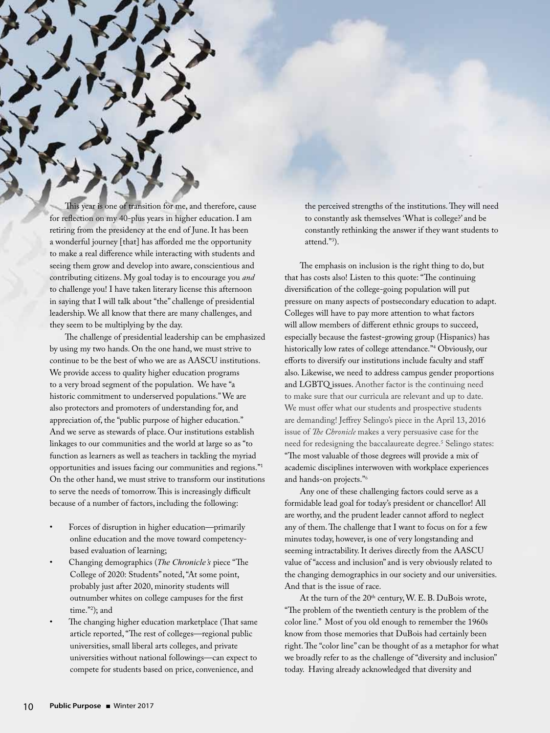This year is one of transition for me, and therefore, cause for reflection on my 40-plus years in higher education. I am retiring from the presidency at the end of June. It has been a wonderful journey [that] has afforded me the opportunity to make a real difference while interacting with students and seeing them grow and develop into aware, conscientious and contributing citizens. My goal today is to encourage you *and* to challenge you! I have taken literary license this afternoon in saying that I will talk about "the" challenge of presidential leadership. We all know that there are many challenges, and they seem to be multiplying by the day.

The challenge of presidential leadership can be emphasized by using my two hands. On the one hand, we must strive to continue to be the best of who we are as AASCU institutions. We provide access to quality higher education programs to a very broad segment of the population. We have "a historic commitment to underserved populations." We are also protectors and promoters of understanding for, and appreciation of, the "public purpose of higher education." And we serve as stewards of place. Our institutions establish linkages to our communities and the world at large so as "to function as learners as well as teachers in tackling the myriad opportunities and issues facing our communities and regions."1 On the other hand, we must strive to transform our institutions to serve the needs of tomorrow. This is increasingly difficult because of a number of factors, including the following:

- Forces of disruption in higher education—primarily online education and the move toward competencybased evaluation of learning;
- Changing demographics (*The Chronicle's* piece "The College of 2020: Students" noted, "At some point, probably just after 2020, minority students will outnumber whites on college campuses for the first time."2 ); and
- The changing higher education marketplace (That same article reported, "The rest of colleges—regional public universities, small liberal arts colleges, and private universities without national followings—can expect to compete for students based on price, convenience, and

the perceived strengths of the institutions. They will need to constantly ask themselves 'What is college?' and be constantly rethinking the answer if they want students to attend."3 ).

The emphasis on inclusion is the right thing to do, but that has costs also! Listen to this quote: "The continuing diversification of the college-going population will put pressure on many aspects of postsecondary education to adapt. Colleges will have to pay more attention to what factors will allow members of different ethnic groups to succeed, especially because the fastest-growing group (Hispanics) has historically low rates of college attendance."4 Obviously, our efforts to diversify our institutions include faculty and staff also. Likewise, we need to address campus gender proportions and LGBTQ issues. Another factor is the continuing need to make sure that our curricula are relevant and up to date. We must offer what our students and prospective students are demanding! Jeffrey Selingo's piece in the April 13, 2016 issue of *The Chronicle* makes a very persuasive case for the need for redesigning the baccalaureate degree.<sup>5</sup> Selingo states: "The most valuable of those degrees will provide a mix of academic disciplines interwoven with workplace experiences and hands-on projects."6

Any one of these challenging factors could serve as a formidable lead goal for today's president or chancellor! All are worthy, and the prudent leader cannot afford to neglect any of them. The challenge that I want to focus on for a few minutes today, however, is one of very longstanding and seeming intractability. It derives directly from the AASCU value of "access and inclusion" and is very obviously related to the changing demographics in our society and our universities. And that is the issue of race.

At the turn of the  $20<sup>th</sup>$  century, W. E. B. DuBois wrote, "The problem of the twentieth century is the problem of the color line." Most of you old enough to remember the 1960s know from those memories that DuBois had certainly been right. The "color line" can be thought of as a metaphor for what we broadly refer to as the challenge of "diversity and inclusion" today. Having already acknowledged that diversity and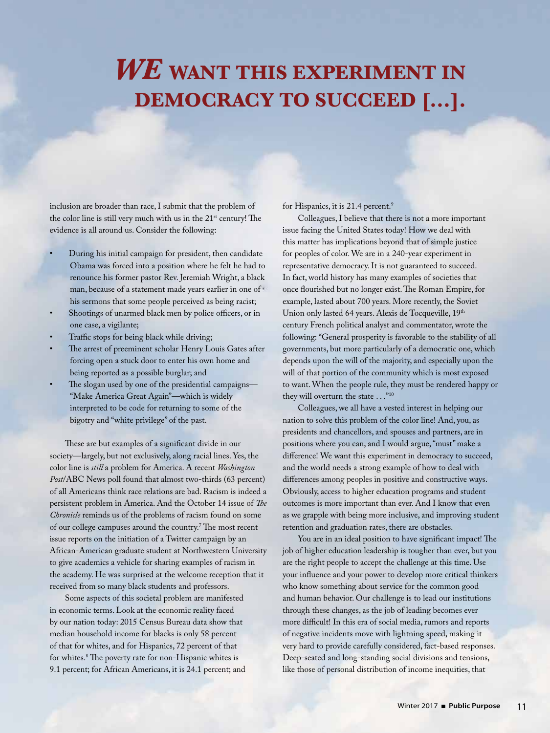## *We* **want this experiment in DEMOCRACY TO SUCCEED [...].**

inclusion are broader than race, I submit that the problem of the color line is still very much with us in the 21<sup>st</sup> century! The evidence is all around us. Consider the following:

- During his initial campaign for president, then candidate Obama was forced into a position where he felt he had to renounce his former pastor Rev. Jeremiah Wright, a black man, because of a statement made years earlier in one of his sermons that some people perceived as being racist;
- Shootings of unarmed black men by police officers, or in one case, a vigilante;
- Traffic stops for being black while driving;
- The arrest of preeminent scholar Henry Louis Gates after forcing open a stuck door to enter his own home and being reported as a possible burglar; and
- The slogan used by one of the presidential campaigns-"Make America Great Again"—which is widely interpreted to be code for returning to some of the bigotry and "white privilege" of the past.

These are but examples of a significant divide in our society—largely, but not exclusively, along racial lines. Yes, the color line is *still* a problem for America. A recent *Washington Post*/ABC News poll found that almost two-thirds (63 percent) of all Americans think race relations are bad. Racism is indeed a persistent problem in America. And the October 14 issue of *The Chronicle* reminds us of the problems of racism found on some of our college campuses around the country.<sup>7</sup> The most recent issue reports on the initiation of a Twitter campaign by an African-American graduate student at Northwestern University to give academics a vehicle for sharing examples of racism in the academy. He was surprised at the welcome reception that it received from so many black students and professors.

Some aspects of this societal problem are manifested in economic terms. Look at the economic reality faced by our nation today: 2015 Census Bureau data show that median household income for blacks is only 58 percent of that for whites, and for Hispanics, 72 percent of that for whites.8 The poverty rate for non-Hispanic whites is 9.1 percent; for African Americans, it is 24.1 percent; and for Hispanics, it is 21.4 percent.<sup>9</sup>

Colleagues, I believe that there is not a more important issue facing the United States today! How we deal with this matter has implications beyond that of simple justice for peoples of color. We are in a 240-year experiment in representative democracy. It is not guaranteed to succeed. In fact, world history has many examples of societies that once flourished but no longer exist. The Roman Empire, for example, lasted about 700 years. More recently, the Soviet Union only lasted 64 years. Alexis de Tocqueville, 19th century French political analyst and commentator, wrote the following: "General prosperity is favorable to the stability of all governments, but more particularly of a democratic one, which depends upon the will of the majority, and especially upon the will of that portion of the community which is most exposed to want. When the people rule, they must be rendered happy or they will overturn the state . . . "<sup>10</sup>

Colleagues, we all have a vested interest in helping our nation to solve this problem of the color line! And, you, as presidents and chancellors, and spouses and partners, are in positions where you can, and I would argue, "must" make a difference! We want this experiment in democracy to succeed, and the world needs a strong example of how to deal with differences among peoples in positive and constructive ways. Obviously, access to higher education programs and student outcomes is more important than ever. And I know that even as we grapple with being more inclusive, and improving student retention and graduation rates, there are obstacles.

You are in an ideal position to have significant impact! The job of higher education leadership is tougher than ever, but you are the right people to accept the challenge at this time. Use your influence and your power to develop more critical thinkers who know something about service for the common good and human behavior. Our challenge is to lead our institutions through these changes, as the job of leading becomes ever more difficult! In this era of social media, rumors and reports of negative incidents move with lightning speed, making it very hard to provide carefully considered, fact-based responses. Deep-seated and long-standing social divisions and tensions, like those of personal distribution of income inequities, that